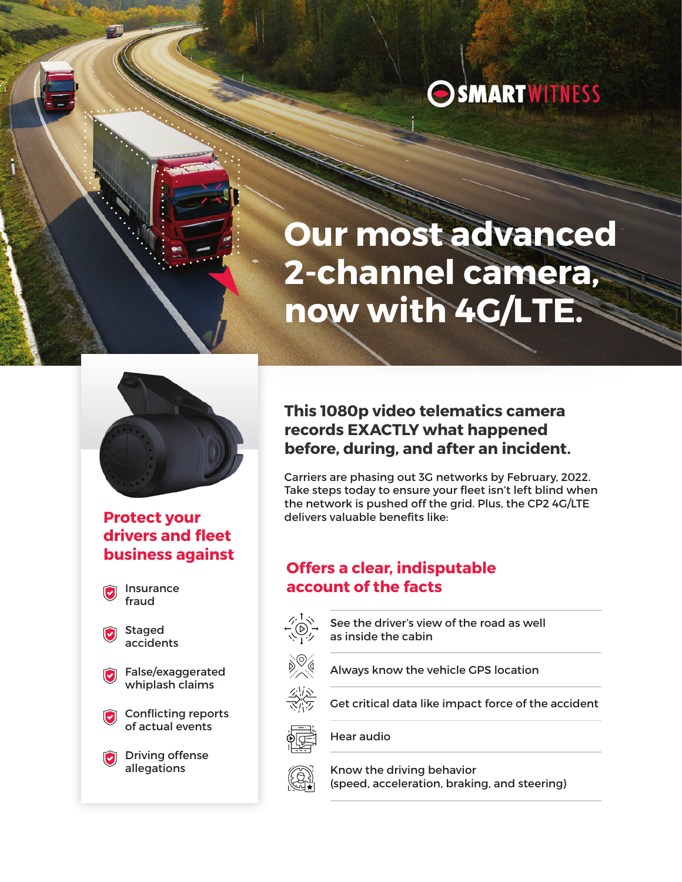

# **Our most advanced 2-channel camera, now with 4G/LTE.**



# **Protect your drivers and fleet business against**

Insurance fraud

Staged accidents

False/exaggerated whiplash claims

Conflicting reports of actual events

**Driving offense** allegations

# **This 1080p video telematics camera records EXACTLY what happened before, during, and after an incident.**

Carriers are phasing out 3G networks by February, 2022. Take steps today to ensure your fleet isn't left blind when the network is pushed off the grid. Plus, the CP2 4G/LTE delivers valuable benefits like:

# **Offers a clear, indisputable account of the facts**

See the driver's view of the road as well as inside the cabin



Always know the vehicle GPS location



Get critical data like impact force of the accident



Hear audio



Know the driving behavior (speed, acceleration, braking, and steering)